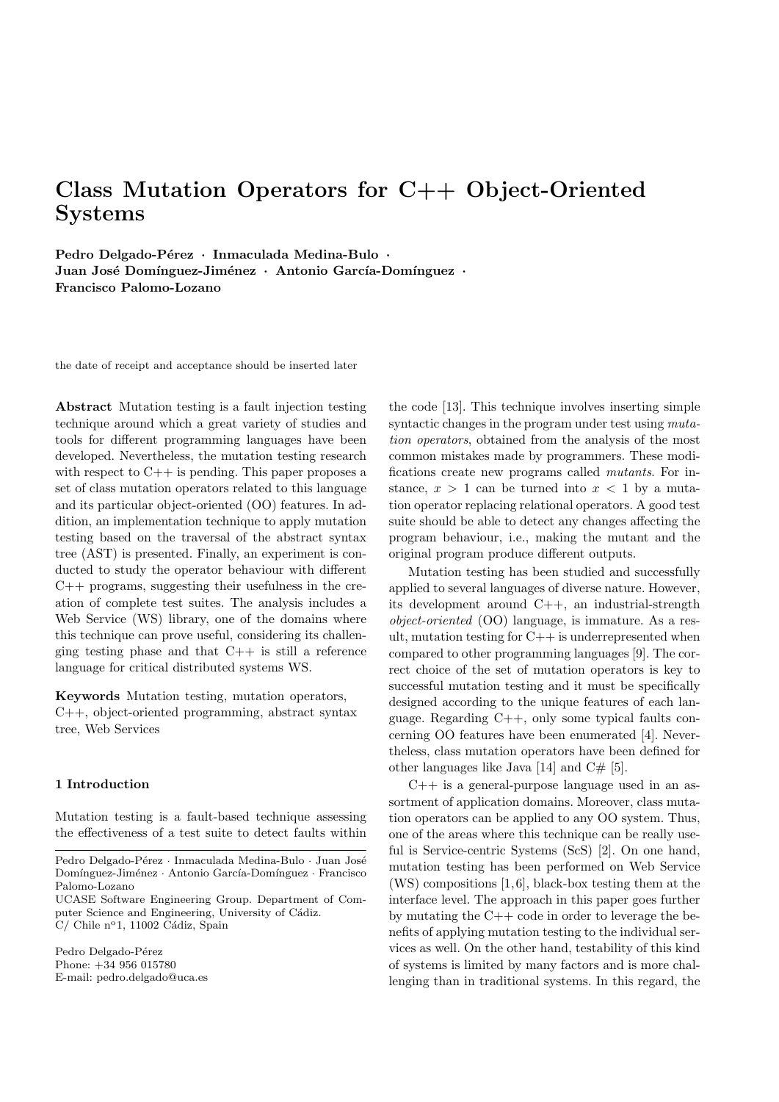# Class Mutation Operators for C++ Object-Oriented Systems

Pedro Delgado-Pérez · Inmaculada Medina-Bulo · Juan José Domínguez-Jiménez · Antonio García-Domínguez · Francisco Palomo-Lozano

the date of receipt and acceptance should be inserted later

Abstract Mutation testing is a fault injection testing technique around which a great variety of studies and tools for different programming languages have been developed. Nevertheless, the mutation testing research with respect to  $C++$  is pending. This paper proposes a set of class mutation operators related to this language and its particular object-oriented (OO) features. In addition, an implementation technique to apply mutation testing based on the traversal of the abstract syntax tree (AST) is presented. Finally, an experiment is conducted to study the operator behaviour with different C++ programs, suggesting their usefulness in the creation of complete test suites. The analysis includes a Web Service (WS) library, one of the domains where this technique can prove useful, considering its challenging testing phase and that  $C++$  is still a reference language for critical distributed systems WS.

Keywords Mutation testing, mutation operators, C++, object-oriented programming, abstract syntax tree, Web Services

## 1 Introduction

Mutation testing is a fault-based technique assessing the effectiveness of a test suite to detect faults within

UCASE Software Engineering Group. Department of Computer Science and Engineering, University of Cádiz.  $C/$  Chile n°1, 11002 Cádiz, Spain

Pedro Delgado-Pérez Phone: +34 956 015780 E-mail: pedro.delgado@uca.es the code [13]. This technique involves inserting simple syntactic changes in the program under test using mutation operators, obtained from the analysis of the most common mistakes made by programmers. These modifications create new programs called mutants. For instance,  $x > 1$  can be turned into  $x < 1$  by a mutation operator replacing relational operators. A good test suite should be able to detect any changes affecting the program behaviour, i.e., making the mutant and the original program produce different outputs.

Mutation testing has been studied and successfully applied to several languages of diverse nature. However, its development around C++, an industrial-strength object-oriented (OO) language, is immature. As a result, mutation testing for C++ is underrepresented when compared to other programming languages [9]. The correct choice of the set of mutation operators is key to successful mutation testing and it must be specifically designed according to the unique features of each language. Regarding C++, only some typical faults concerning OO features have been enumerated [4]. Nevertheless, class mutation operators have been defined for other languages like Java  $[14]$  and  $C#$  [5].

 $C_{++}$  is a general-purpose language used in an assortment of application domains. Moreover, class mutation operators can be applied to any OO system. Thus, one of the areas where this technique can be really useful is Service-centric Systems (ScS) [2]. On one hand, mutation testing has been performed on Web Service  $(WS)$  compositions [1, 6], black-box testing them at the interface level. The approach in this paper goes further by mutating the C++ code in order to leverage the benefits of applying mutation testing to the individual services as well. On the other hand, testability of this kind of systems is limited by many factors and is more challenging than in traditional systems. In this regard, the

Pedro Delgado-Pérez · Inmaculada Medina-Bulo · Juan José  $\mbox{Domínguez-Jiménez}$  · Antonio García-Domínguez · Francisco Palomo-Lozano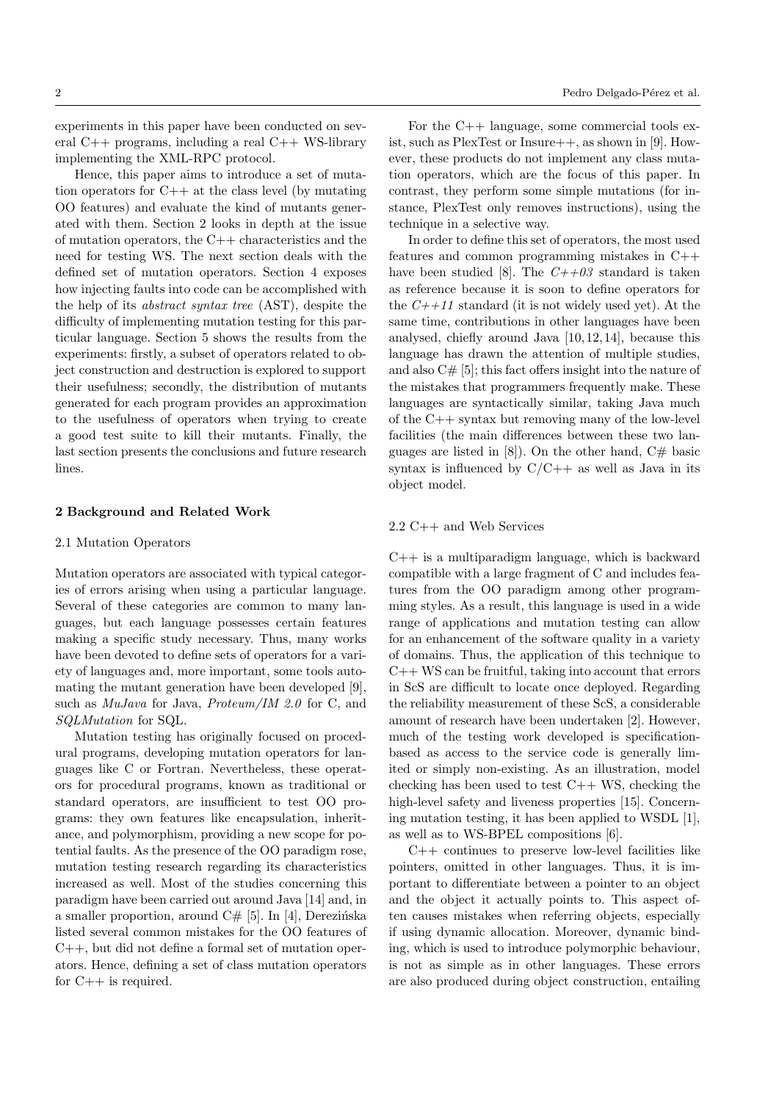experiments in this paper have been conducted on several C++ programs, including a real C++ WS-library implementing the XML-RPC protocol.

Hence, this paper aims to introduce a set of mutation operators for C++ at the class level (by mutating OO features) and evaluate the kind of mutants generated with them. Section 2 looks in depth at the issue of mutation operators, the C++ characteristics and the need for testing WS. The next section deals with the defined set of mutation operators. Section 4 exposes how injecting faults into code can be accomplished with the help of its abstract syntax tree (AST), despite the difficulty of implementing mutation testing for this particular language. Section 5 shows the results from the experiments: firstly, a subset of operators related to object construction and destruction is explored to support their usefulness; secondly, the distribution of mutants generated for each program provides an approximation to the usefulness of operators when trying to create a good test suite to kill their mutants. Finally, the last section presents the conclusions and future research lines.

## 2 Background and Related Work

#### 2.1 Mutation Operators

Mutation operators are associated with typical categories of errors arising when using a particular language. Several of these categories are common to many languages, but each language possesses certain features making a specific study necessary. Thus, many works have been devoted to define sets of operators for a variety of languages and, more important, some tools automating the mutant generation have been developed [9], such as MuJava for Java, Proteum/IM 2.0 for C, and SQLMutation for SQL.

Mutation testing has originally focused on procedural programs, developing mutation operators for languages like C or Fortran. Nevertheless, these operators for procedural programs, known as traditional or standard operators, are insufficient to test OO programs: they own features like encapsulation, inheritance, and polymorphism, providing a new scope for potential faults. As the presence of the OO paradigm rose, mutation testing research regarding its characteristics increased as well. Most of the studies concerning this paradigm have been carried out around Java [14] and, in a smaller proportion, around  $C# [5]$ . In [4], Derezinska listed several common mistakes for the OO features of C++, but did not define a formal set of mutation operators. Hence, defining a set of class mutation operators for C++ is required.

For the C++ language, some commercial tools exist, such as PlexTest or Insure++, as shown in [9]. However, these products do not implement any class mutation operators, which are the focus of this paper. In contrast, they perform some simple mutations (for instance, PlexTest only removes instructions), using the technique in a selective way.

In order to define this set of operators, the most used features and common programming mistakes in C++ have been studied [8]. The  $C++03$  standard is taken as reference because it is soon to define operators for the  $C++11$  standard (it is not widely used yet). At the same time, contributions in other languages have been analysed, chiefly around Java [10, 12, 14], because this language has drawn the attention of multiple studies, and also C# [5]; this fact offers insight into the nature of the mistakes that programmers frequently make. These languages are syntactically similar, taking Java much of the C++ syntax but removing many of the low-level facilities (the main differences between these two languages are listed in [8]). On the other hand,  $C#$  basic syntax is influenced by  $C/C++$  as well as Java in its object model.

#### 2.2 C++ and Web Services

C++ is a multiparadigm language, which is backward compatible with a large fragment of C and includes features from the OO paradigm among other programming styles. As a result, this language is used in a wide range of applications and mutation testing can allow for an enhancement of the software quality in a variety of domains. Thus, the application of this technique to  $C++WS$  can be fruitful, taking into account that errors in ScS are difficult to locate once deployed. Regarding the reliability measurement of these ScS, a considerable amount of research have been undertaken [2]. However, much of the testing work developed is specificationbased as access to the service code is generally limited or simply non-existing. As an illustration, model checking has been used to test  $C++$  WS, checking the high-level safety and liveness properties [15]. Concerning mutation testing, it has been applied to WSDL [1], as well as to WS-BPEL compositions [6].

 $C++$  continues to preserve low-level facilities like pointers, omitted in other languages. Thus, it is important to differentiate between a pointer to an object and the object it actually points to. This aspect often causes mistakes when referring objects, especially if using dynamic allocation. Moreover, dynamic binding, which is used to introduce polymorphic behaviour, is not as simple as in other languages. These errors are also produced during object construction, entailing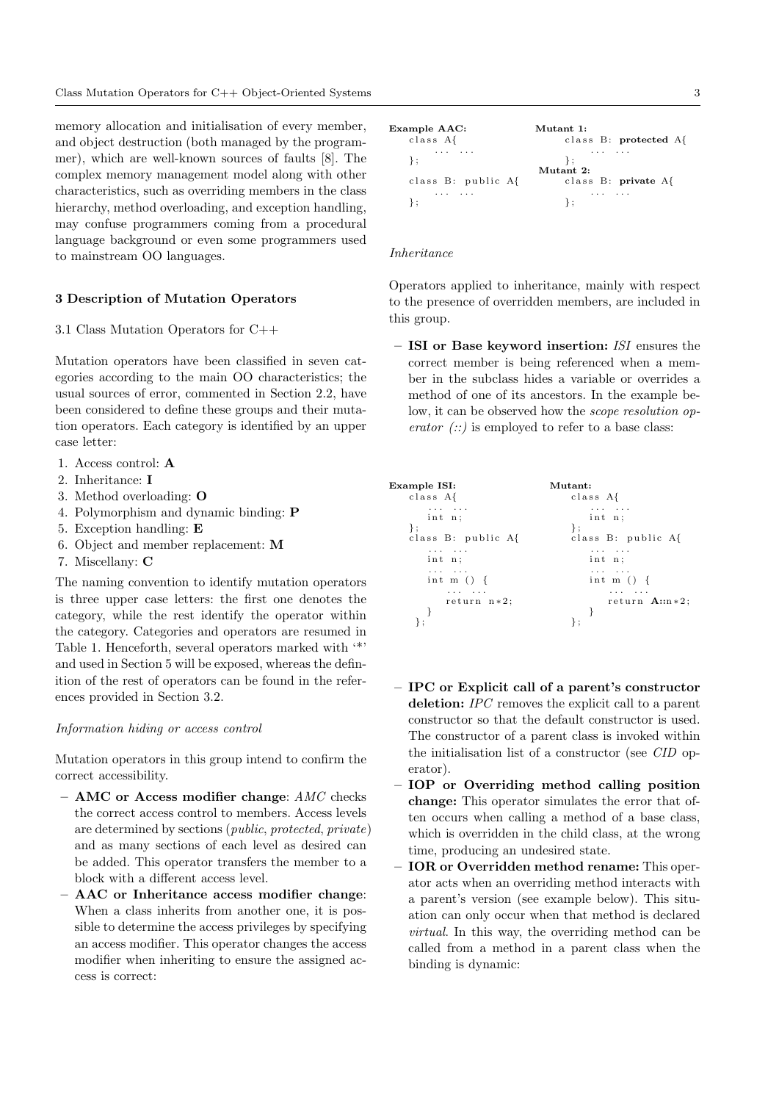memory allocation and initialisation of every member, and object destruction (both managed by the programmer), which are well-known sources of faults [8]. The complex memory management model along with other characteristics, such as overriding members in the class hierarchy, method overloading, and exception handling, may confuse programmers coming from a procedural language background or even some programmers used to mainstream OO languages.

## 3 Description of Mutation Operators

## 3.1 Class Mutation Operators for C++

Mutation operators have been classified in seven categories according to the main OO characteristics; the usual sources of error, commented in Section 2.2, have been considered to define these groups and their mutation operators. Each category is identified by an upper case letter:

- 1. Access control: A
- 2. Inheritance: I
- 3. Method overloading: O
- 4. Polymorphism and dynamic binding: P
- 5. Exception handling: E
- 6. Object and member replacement: M
- 7. Miscellany: C

The naming convention to identify mutation operators is three upper case letters: the first one denotes the category, while the rest identify the operator within the category. Categories and operators are resumed in Table 1. Henceforth, several operators marked with '\*' and used in Section 5 will be exposed, whereas the definition of the rest of operators can be found in the references provided in Section 3.2.

## Information hiding or access control

Mutation operators in this group intend to confirm the correct accessibility.

- $-$  AMC or Access modifier change:  $AMC$  checks the correct access control to members. Access levels are determined by sections (public, protected, private) and as many sections of each level as desired can be added. This operator transfers the member to a block with a different access level.
- AAC or Inheritance access modifier change: When a class inherits from another one, it is possible to determine the access privileges by specifying an access modifier. This operator changes the access modifier when inheriting to ensure the assigned access is correct:

Example AAC: Mutant 1: c l a s s A{ c l a s s B : protected A{ . . . . . . . . . . . . } ; } ; Mutant 2: c l a s s B : p u b l i c A{ c l a s s B : private A{ . . . . . . . . . . . . } ; } ;

## Inheritance

Operators applied to inheritance, mainly with respect to the presence of overridden members, are included in this group.

– ISI or Base keyword insertion: ISI ensures the correct member is being referenced when a member in the subclass hides a variable or overrides a method of one of its ancestors. In the example below, it can be observed how the scope resolution operator  $(:):$  is employed to refer to a base class:

| Example ISI:                 | Mutant:            |
|------------------------------|--------------------|
| class A{                     | class A{           |
| and a straight and           | and a straight and |
| int n;                       | int n;             |
| $\}$ ;                       | ∤;                 |
| class B: public A{           | class B: public A{ |
| $\sim$ 100 $\sim$ 100 $\sim$ | .                  |
| int n:                       | int n:             |
| .                            | .                  |
| int m $() \{$                | int m $() \{$      |
| and a straight               | .                  |
| $return n*2;$                | return $A::n*2;$   |

- IPC or Explicit call of a parent's constructor deletion: IPC removes the explicit call to a parent constructor so that the default constructor is used. The constructor of a parent class is invoked within the initialisation list of a constructor (see CID operator).
- IOP or Overriding method calling position change: This operator simulates the error that often occurs when calling a method of a base class, which is overridden in the child class, at the wrong time, producing an undesired state.
- IOR or Overridden method rename: This operator acts when an overriding method interacts with a parent's version (see example below). This situation can only occur when that method is declared virtual. In this way, the overriding method can be called from a method in a parent class when the binding is dynamic: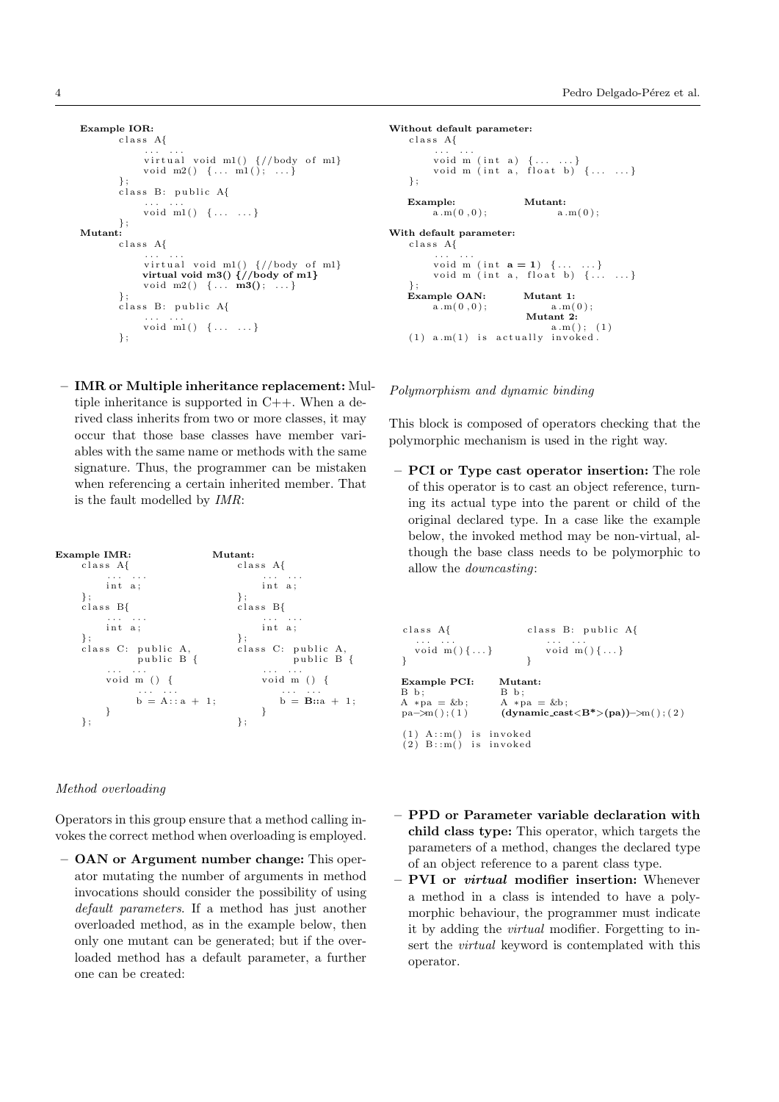```
Example IOR:
          c l a s s A{
                 ... ...<br>virtual void m1() {//body of m1}<br>void m2() {... m1(); ...}
          };<br>class B: public A{
                 ... ...<br>void m1() {... ...}
          \lambda:
Mutant:
          c l a s s A{
                 \dots \dots<br>virtual void m1() \frac{1}{2} of m1}
                virtual void m3() \frac{1}{2}//body of m1}
                 void m2() \{ \dots \text{m3}( ) ; \dots \}};<br>class B: public A{
                 ... ...<br>void m1() {... ...}
          } ;
```
– IMR or Multiple inheritance replacement: Multiple inheritance is supported in C++. When a derived class inherits from two or more classes, it may occur that those base classes have member variables with the same name or methods with the same signature. Thus, the programmer can be mistaken when referencing a certain inherited member. That is the fault modelled by IMR:



#### Method overloading

Operators in this group ensure that a method calling invokes the correct method when overloading is employed.

– OAN or Argument number change: This operator mutating the number of arguments in method invocations should consider the possibility of using default parameters. If a method has just another overloaded method, as in the example below, then only one mutant can be generated; but if the overloaded method has a default parameter, a further one can be created:

```
Without default parameter:
    c l a s s A{
           ... ...<br>void m (int a) {... ...}
           void m (int a) \{ \ldots \ldots \}<br>void m (int a, float b) \{ \ldots \ldots \}\cdotExample: \begin{array}{lll} \textbf{Hutant:} \\ \text{a.m(0,0);} \end{array}a.m(0, 0);With default parameter:
    c l a s s A{
           \dots \dots<br>void m (int \mathbf{a} = 1) \{\dots \dots\}void m (int a, float b) \{\ldots, \ldots\}} ;
    Example OAN: Mutant 1:<br>a.m(0.0): a.m(0)
           a.m(0.0):
                                   Mutant 2:
                                         a.m( ) ; (1)
    (1) a.m(1) is actually invoked.
```
## Polymorphism and dynamic binding

This block is composed of operators checking that the polymorphic mechanism is used in the right way.

– PCI or Type cast operator insertion: The role of this operator is to cast an object reference, turning its actual type into the parent or child of the original declared type. In a case like the example below, the invoked method may be non-virtual, although the base class needs to be polymorphic to allow the downcasting:

```
class A{ class B: public A{
  . . . . . . . . . . . .
  void m( \} ... } void m( \} ... }
} }
Example PCI: Mutant:<br>B b: B b;
                 B b;<br>A *pa = &b;
A *pa = &b;<br>pa->m():(1)
                 (dynamic\_cast < B^*>(pa))->m( ); (2)
(1) A::m() is invoked
(2) B::m() is invoked
```
- PPD or Parameter variable declaration with child class type: This operator, which targets the parameters of a method, changes the declared type of an object reference to a parent class type.
- PVI or *virtual* modifier insertion: Whenever a method in a class is intended to have a polymorphic behaviour, the programmer must indicate it by adding the virtual modifier. Forgetting to insert the virtual keyword is contemplated with this operator.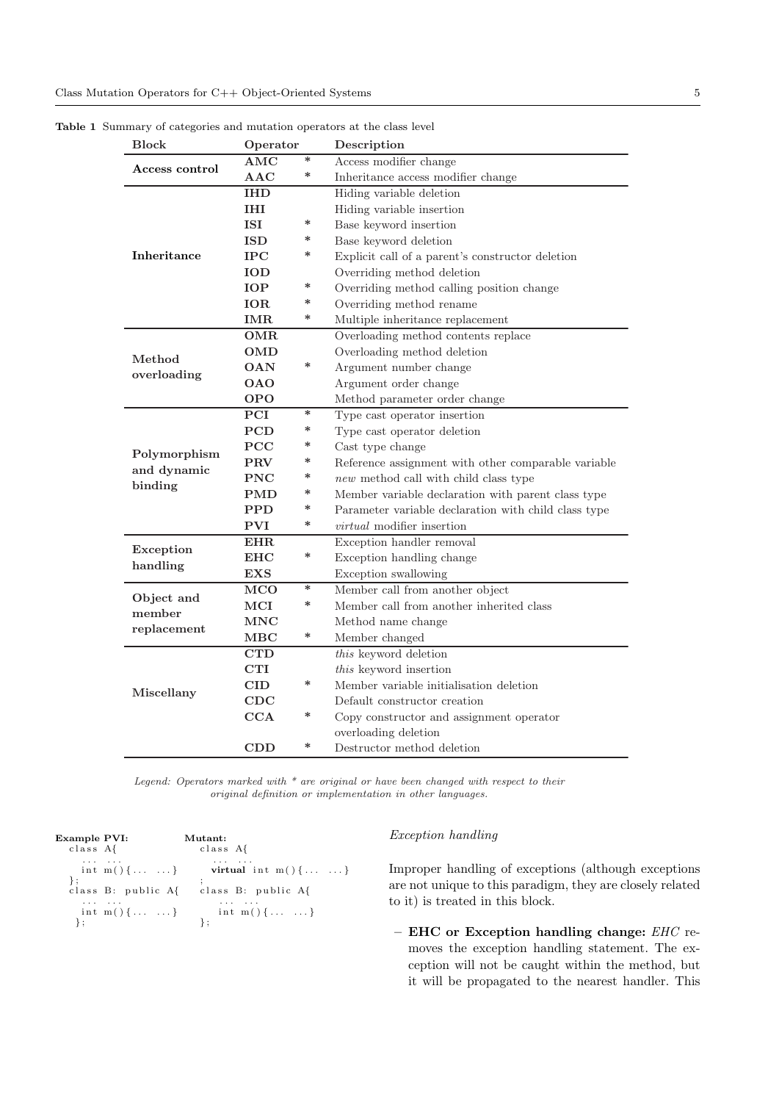| <b>Block</b>                | Operator             |        | Description                                          |  |  |  |
|-----------------------------|----------------------|--------|------------------------------------------------------|--|--|--|
| Access control              | <b>AMC</b>           | $\ast$ | Access modifier change                               |  |  |  |
|                             | $\bf AAC$            | $\ast$ | Inheritance access modifier change                   |  |  |  |
|                             | IHD                  |        | Hiding variable deletion                             |  |  |  |
|                             | IHI                  |        | Hiding variable insertion                            |  |  |  |
|                             | ISI                  | ∗      | Base keyword insertion                               |  |  |  |
|                             | <b>ISD</b>           | $\ast$ | Base keyword deletion                                |  |  |  |
| Inheritance                 | <b>IPC</b>           | ∗      | Explicit call of a parent's constructor deletion     |  |  |  |
|                             | IOD                  |        | Overriding method deletion                           |  |  |  |
|                             | <b>IOP</b>           | ∗      | Overriding method calling position change            |  |  |  |
|                             | IOR                  | ∗      | Overriding method rename                             |  |  |  |
|                             | IMR                  | $\ast$ | Multiple inheritance replacement                     |  |  |  |
|                             | OMR                  |        | Overloading method contents replace                  |  |  |  |
| Method                      | <b>OMD</b>           |        | Overloading method deletion                          |  |  |  |
|                             | <b>OAN</b>           | $\ast$ | Argument number change                               |  |  |  |
| overloading                 | <b>OAO</b>           |        | Argument order change                                |  |  |  |
|                             | <b>OPO</b>           |        | Method parameter order change                        |  |  |  |
|                             | PCI                  | $\ast$ | Type cast operator insertion                         |  |  |  |
|                             | <b>PCD</b>           | ∗      | Type cast operator deletion                          |  |  |  |
|                             | $\bf PCC$            | ∗      | Cast type change                                     |  |  |  |
| Polymorphism<br>and dynamic | PRV                  | ∗      | Reference assignment with other comparable variable  |  |  |  |
| binding                     | $\operatorname{PNC}$ | $\ast$ | new method call with child class type                |  |  |  |
|                             | PMD                  | $\ast$ | Member variable declaration with parent class type   |  |  |  |
|                             | <b>PPD</b>           | $\ast$ | Parameter variable declaration with child class type |  |  |  |
|                             | <b>PVI</b>           | $\ast$ | <i>virtual</i> modifier insertion                    |  |  |  |
| <b>EHR</b>                  |                      |        | Exception handler removal                            |  |  |  |
| Exception<br>handling       | $_{\rm EHC}$         | $\ast$ | Exception handling change                            |  |  |  |
|                             | $exs$                |        | Exception swallowing                                 |  |  |  |
|                             | <b>MCO</b>           | $\ast$ | Member call from another object                      |  |  |  |
| Object and<br>member        | $_{\rm MCI}$         | $\ast$ | Member call from another inherited class             |  |  |  |
| replacement                 | <b>MNC</b>           |        | Method name change                                   |  |  |  |
|                             | $_{\rm MBC}$         | $\ast$ | Member changed                                       |  |  |  |
|                             | <b>CTD</b>           |        | this keyword deletion                                |  |  |  |
|                             | CTI                  |        | this keyword insertion                               |  |  |  |
|                             | $\text{CID}$         | $\ast$ | Member variable initialisation deletion              |  |  |  |
| Miscellany                  | $_{\rm CDC}$         |        | Default constructor creation                         |  |  |  |
|                             | CCA                  | $\ast$ | Copy constructor and assignment operator             |  |  |  |
|                             |                      |        | overloading deletion                                 |  |  |  |
|                             | <b>CDD</b>           | ∗      | Destructor method deletion                           |  |  |  |

Table 1 Summary of categories and mutation operators at the class level

Legend: Operators marked with  $*$  are original or have been changed with respect to their original definition or implementation in other languages.

| <b>Example PVI:</b><br>class A{ |              | Mutant:<br>class A{                   |
|---------------------------------|--------------|---------------------------------------|
|                                 |              | int m(){ } virtual int m(){ }         |
|                                 |              | class B: public A{ class B: public A{ |
|                                 | int m() {  } | int m(){ }                            |

# Exception handling

Improper handling of exceptions (although exceptions are not unique to this paradigm, they are closely related to it) is treated in this block.

– EHC or Exception handling change: EHC removes the exception handling statement. The exception will not be caught within the method, but it will be propagated to the nearest handler. This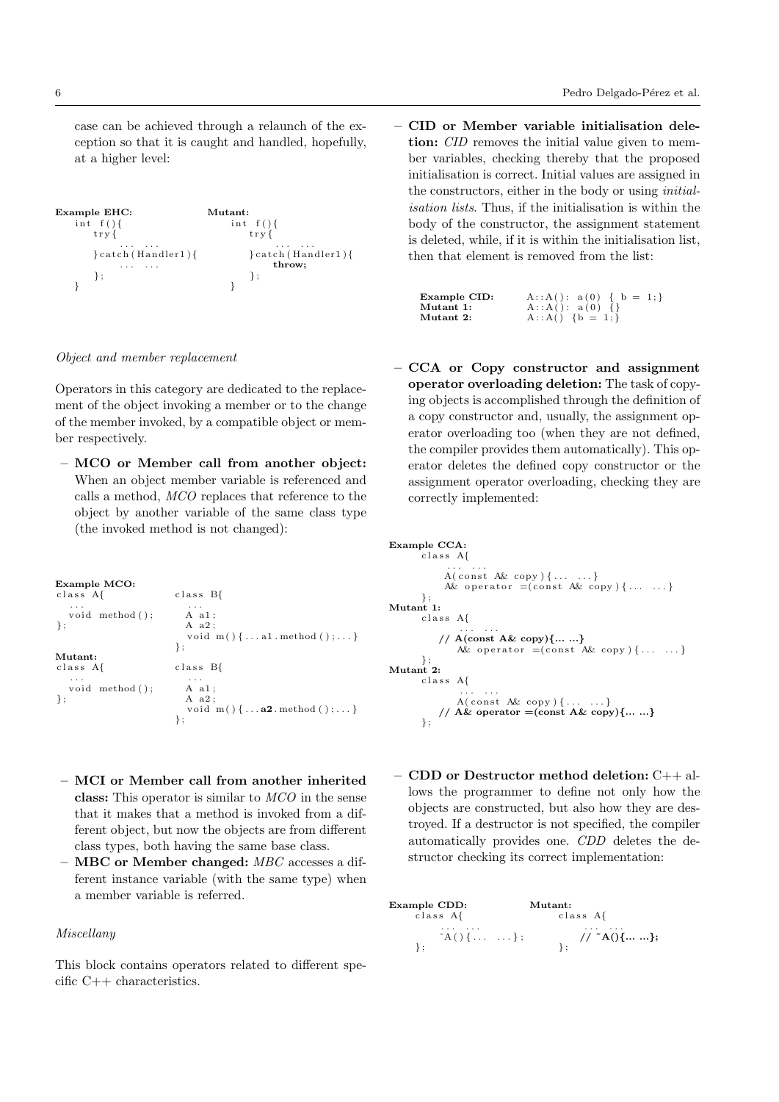case can be achieved through a relaunch of the exception so that it is caught and handled, hopefully, at a higher level:

```
Example EHC: Mutant:<br>
int f() { Mutant:<br>
int f() {
    \begin{array}{cc} \inf \inf \{x \} \ \text{try} \end{array} \begin{array}{cc} \inf \inf \{x \} \ \text{try} \end{array}tr y {
        \}catch (Handler1)\{\} catch (Handler1){
             . . . . . . throw;
        } ; {} } ;
    } }
```
Object and member replacement

Operators in this category are dedicated to the replacement of the object invoking a member or to the change of the member invoked, by a compatible object or member respectively.

– MCO or Member call from another object: When an object member variable is referenced and calls a method, MCO replaces that reference to the object by another variable of the same class type (the invoked method is not changed):

| Example MCO:<br>class A{                  | class B{                                                                                                 |
|-------------------------------------------|----------------------------------------------------------------------------------------------------------|
| $\cdots$<br>void method();<br>$\}$ ;      | $\cdots$<br>A a1:<br>A a2:<br>void $m() \{ \ldots a1. method() ; \ldots \}$<br>$\}$ ;                    |
| Mutant:<br>class A                        | class B{                                                                                                 |
| $\cdots$<br>void method $()$ ;<br>$\cdot$ | $\cdot$ $\cdot$ $\cdot$<br>A a1:<br>A a2:<br>void $m() \{ \ldots a2. \text{ method}() ; \ldots \}$<br>∤; |

- MCI or Member call from another inherited class: This operator is similar to MCO in the sense that it makes that a method is invoked from a different object, but now the objects are from different class types, both having the same base class.
- MBC or Member changed: MBC accesses a different instance variable (with the same type) when a member variable is referred.

## Miscellany

This block contains operators related to different specific C++ characteristics.

– CID or Member variable initialisation deletion: *CID* removes the initial value given to member variables, checking thereby that the proposed initialisation is correct. Initial values are assigned in the constructors, either in the body or using initialisation lists. Thus, if the initialisation is within the body of the constructor, the assignment statement is deleted, while, if it is within the initialisation list, then that element is removed from the list:

| Example CID: | A:: A(): $a(0) \{ b = 1; \}$ |
|--------------|------------------------------|
| Mutant 1:    | $A$ :: $A()$ : $a(0)$ {}     |
| Mutant 2:    | $A$ :: $A()$ {b = 1;}        |

– CCA or Copy constructor and assignment operator overloading deletion: The task of copying objects is accomplished through the definition of a copy constructor and, usually, the assignment operator overloading too (when they are not defined, the compiler provides them automatically). This operator deletes the defined copy constructor or the assignment operator overloading, checking they are correctly implemented:

```
Example CCA:
        class A{
              . . . . . . .<br>A ( const A& copy ) { . . . . . . }
              A\& operator =(const A\& copy){.....}
} ;
Mutant 1:
        c l a s s A{
             . . . . . .
// A(const A& copy){... ...}
                 A\& operator =(\text{const} \; A\& \text{copy})\{ \ldots \; \ldots \}\lambda:
Mutant 2.
        c l a s s A{
                 . . . . . . .<br>A ( const A& copy ) { . . . . . . }
             // A\& operator = (const A\& copy)\{...... \}} ;
```
– CDD or Destructor method deletion: C++ allows the programmer to define not only how the objects are constructed, but also how they are destroyed. If a destructor is not specified, the compiler automatically provides one. CDD deletes the destructor checking its correct implementation:

Example CDD: Mutant: c l a s s A{ c l a s s A{ . . . . . . . . . . . . ˜A ( ) { . . . . . . } ; // ˜A(){... ...}; } ; } ;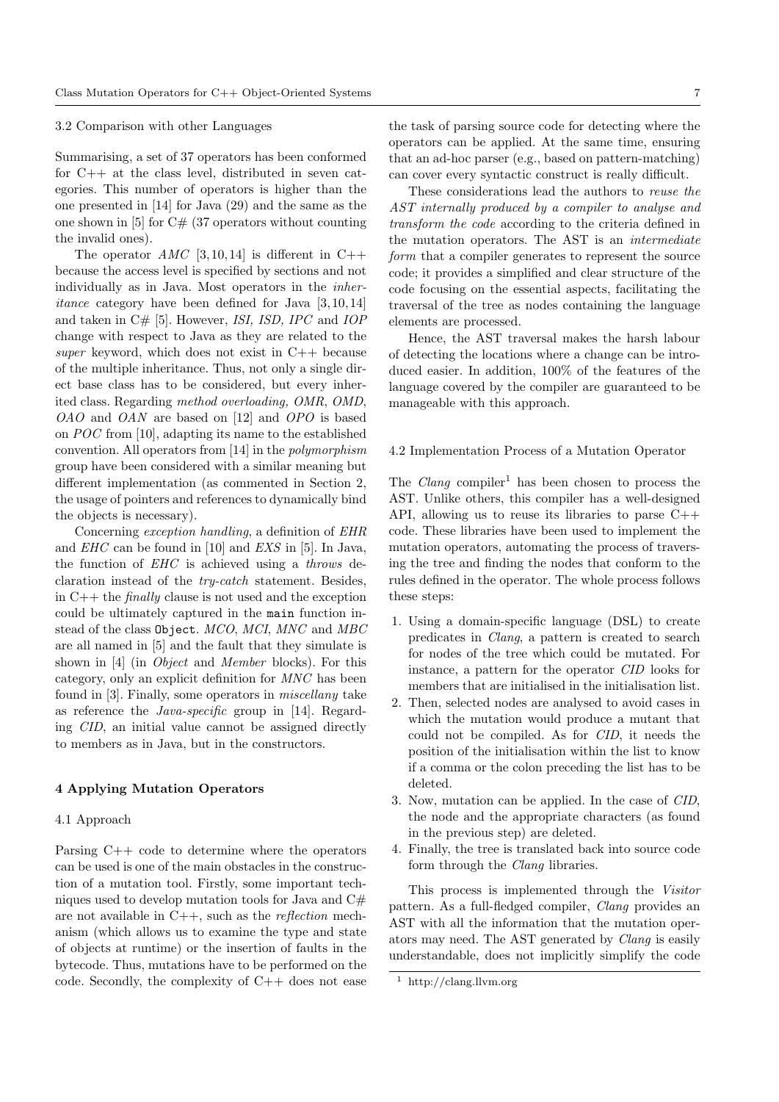#### 3.2 Comparison with other Languages

Summarising, a set of 37 operators has been conformed for C++ at the class level, distributed in seven categories. This number of operators is higher than the one presented in [14] for Java (29) and the same as the one shown in  $[5]$  for  $C#$  (37 operators without counting the invalid ones).

The operator  $AMC$  [3,10,14] is different in C++ because the access level is specified by sections and not individually as in Java. Most operators in the inheritance category have been defined for Java [3, 10, 14] and taken in C# [5]. However, ISI, ISD, IPC and IOP change with respect to Java as they are related to the super keyword, which does not exist in  $C_{++}$  because of the multiple inheritance. Thus, not only a single direct base class has to be considered, but every inherited class. Regarding method overloading, OMR, OMD, OAO and OAN are based on [12] and OPO is based on POC from [10], adapting its name to the established convention. All operators from [14] in the polymorphism group have been considered with a similar meaning but different implementation (as commented in Section 2, the usage of pointers and references to dynamically bind the objects is necessary).

Concerning exception handling, a definition of EHR and EHC can be found in [10] and EXS in [5]. In Java, the function of EHC is achieved using a throws declaration instead of the try-catch statement. Besides, in  $C++$  the *finally* clause is not used and the exception could be ultimately captured in the main function instead of the class Object. MCO, MCI, MNC and MBC are all named in [5] and the fault that they simulate is shown in [4] (in Object and Member blocks). For this category, only an explicit definition for MNC has been found in [3]. Finally, some operators in miscellany take as reference the Java-specific group in [14]. Regarding CID, an initial value cannot be assigned directly to members as in Java, but in the constructors.

#### 4 Applying Mutation Operators

## 4.1 Approach

Parsing C++ code to determine where the operators can be used is one of the main obstacles in the construction of a mutation tool. Firstly, some important techniques used to develop mutation tools for Java and  $C#$ are not available in  $C++$ , such as the *reflection* mechanism (which allows us to examine the type and state of objects at runtime) or the insertion of faults in the bytecode. Thus, mutations have to be performed on the code. Secondly, the complexity of C++ does not ease

the task of parsing source code for detecting where the operators can be applied. At the same time, ensuring that an ad-hoc parser (e.g., based on pattern-matching) can cover every syntactic construct is really difficult.

These considerations lead the authors to reuse the AST internally produced by a compiler to analyse and transform the code according to the criteria defined in the mutation operators. The AST is an intermediate form that a compiler generates to represent the source code; it provides a simplified and clear structure of the code focusing on the essential aspects, facilitating the traversal of the tree as nodes containing the language elements are processed.

Hence, the AST traversal makes the harsh labour of detecting the locations where a change can be introduced easier. In addition, 100% of the features of the language covered by the compiler are guaranteed to be manageable with this approach.

#### 4.2 Implementation Process of a Mutation Operator

The *Clang* compiler<sup>1</sup> has been chosen to process the AST. Unlike others, this compiler has a well-designed API, allowing us to reuse its libraries to parse  $C++$ code. These libraries have been used to implement the mutation operators, automating the process of traversing the tree and finding the nodes that conform to the rules defined in the operator. The whole process follows these steps:

- 1. Using a domain-specific language (DSL) to create predicates in Clang, a pattern is created to search for nodes of the tree which could be mutated. For instance, a pattern for the operator CID looks for members that are initialised in the initialisation list.
- 2. Then, selected nodes are analysed to avoid cases in which the mutation would produce a mutant that could not be compiled. As for CID, it needs the position of the initialisation within the list to know if a comma or the colon preceding the list has to be deleted.
- 3. Now, mutation can be applied. In the case of CID, the node and the appropriate characters (as found in the previous step) are deleted.
- 4. Finally, the tree is translated back into source code form through the Clang libraries.

This process is implemented through the Visitor pattern. As a full-fledged compiler, Clang provides an AST with all the information that the mutation operators may need. The AST generated by Clang is easily understandable, does not implicitly simplify the code

<sup>1</sup> http://clang.llvm.org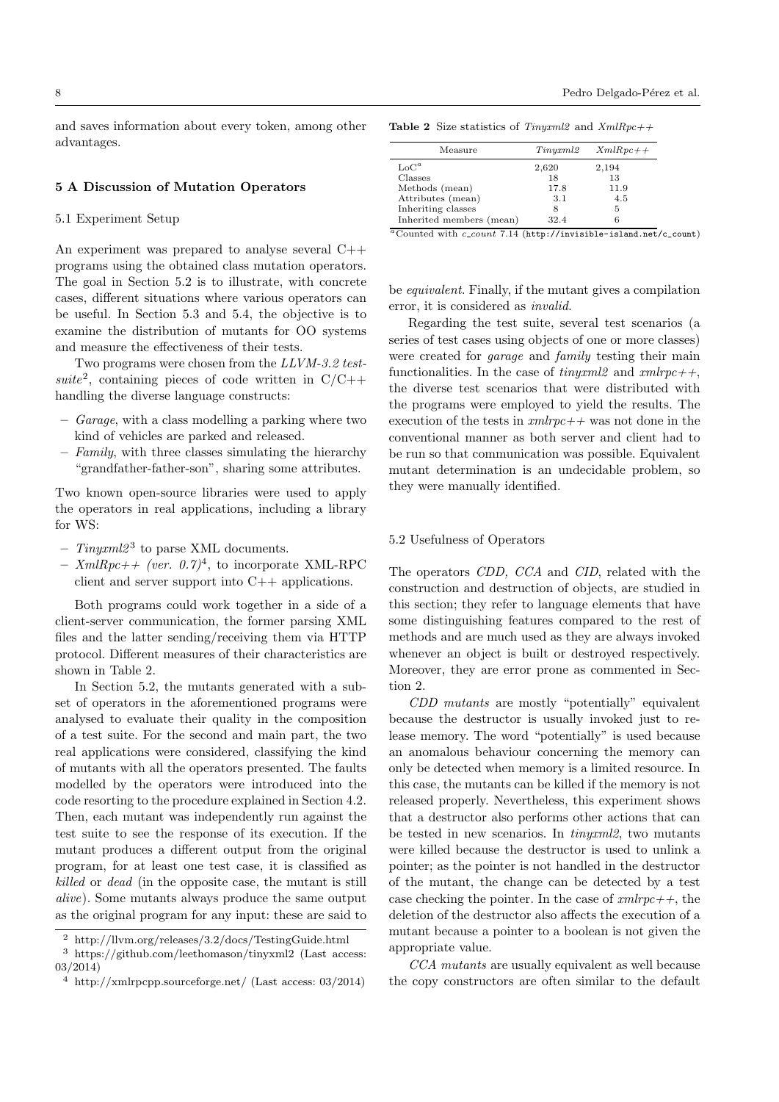and saves information about every token, among other advantages.

#### 5 A Discussion of Mutation Operators

#### 5.1 Experiment Setup

An experiment was prepared to analyse several C++ programs using the obtained class mutation operators. The goal in Section 5.2 is to illustrate, with concrete cases, different situations where various operators can be useful. In Section 5.3 and 5.4, the objective is to examine the distribution of mutants for OO systems and measure the effectiveness of their tests.

Two programs were chosen from the LLVM-3.2 testsuite<sup>2</sup>, containing pieces of code written in  $C/C++$ handling the diverse language constructs:

- Garage, with a class modelling a parking where two kind of vehicles are parked and released.
- $-$  Family, with three classes simulating the hierarchy "grandfather-father-son", sharing some attributes.

Two known open-source libraries were used to apply the operators in real applications, including a library for WS:

- $-$  Tinyxml2<sup>3</sup> to parse XML documents.
- $-$  XmlRpc++ (ver. 0.7)<sup>4</sup>, to incorporate XML-RPC client and server support into C++ applications.

Both programs could work together in a side of a client-server communication, the former parsing XML files and the latter sending/receiving them via HTTP protocol. Different measures of their characteristics are shown in Table 2.

In Section 5.2, the mutants generated with a subset of operators in the aforementioned programs were analysed to evaluate their quality in the composition of a test suite. For the second and main part, the two real applications were considered, classifying the kind of mutants with all the operators presented. The faults modelled by the operators were introduced into the code resorting to the procedure explained in Section 4.2. Then, each mutant was independently run against the test suite to see the response of its execution. If the mutant produces a different output from the original program, for at least one test case, it is classified as killed or dead (in the opposite case, the mutant is still alive). Some mutants always produce the same output as the original program for any input: these are said to

8 Pedro Delgado-Pérez et al.

| <b>Table 2</b> Size statistics of <i>Tinyxml</i> 2 and $XmlRpc++$ |  |
|-------------------------------------------------------------------|--|
|-------------------------------------------------------------------|--|

| Measure                  | Tinyxml2 | $XmlRpc++$ |
|--------------------------|----------|------------|
| $\mathrm{LoC}^a$         | 2,620    | 2,194      |
| Classes                  | 18       | 13         |
| Methods (mean)           | 17.8     | 11.9       |
| Attributes (mean)        | 3.1      | 4.5        |
| Inheriting classes       | 8        | 5          |
| Inherited members (mean) | 32.4     |            |

 $a^a$ Counted with  $c\_count$  7.14 (http://invisible-island.net/c\_count)

be equivalent. Finally, if the mutant gives a compilation error, it is considered as invalid.

Regarding the test suite, several test scenarios (a series of test cases using objects of one or more classes) were created for *garage* and *family* testing their main functionalities. In the case of  $tinyxml2$  and  $xmlrpc++$ , the diverse test scenarios that were distributed with the programs were employed to yield the results. The execution of the tests in  $xmlrpc++$  was not done in the conventional manner as both server and client had to be run so that communication was possible. Equivalent mutant determination is an undecidable problem, so they were manually identified.

## 5.2 Usefulness of Operators

The operators CDD, CCA and CID, related with the construction and destruction of objects, are studied in this section; they refer to language elements that have some distinguishing features compared to the rest of methods and are much used as they are always invoked whenever an object is built or destroyed respectively. Moreover, they are error prone as commented in Section 2.

CDD mutants are mostly "potentially" equivalent because the destructor is usually invoked just to release memory. The word "potentially" is used because an anomalous behaviour concerning the memory can only be detected when memory is a limited resource. In this case, the mutants can be killed if the memory is not released properly. Nevertheless, this experiment shows that a destructor also performs other actions that can be tested in new scenarios. In tinyxml2, two mutants were killed because the destructor is used to unlink a pointer; as the pointer is not handled in the destructor of the mutant, the change can be detected by a test case checking the pointer. In the case of  $cmlrpc++$ , the deletion of the destructor also affects the execution of a mutant because a pointer to a boolean is not given the appropriate value.

CCA mutants are usually equivalent as well because the copy constructors are often similar to the default

<sup>2</sup> http://llvm.org/releases/3.2/docs/TestingGuide.html

 $^3$ https://github.com/leethomason/tinyxml2 (Last access: 03/2014)

<sup>4</sup> http://xmlrpcpp.sourceforge.net/ (Last access: 03/2014)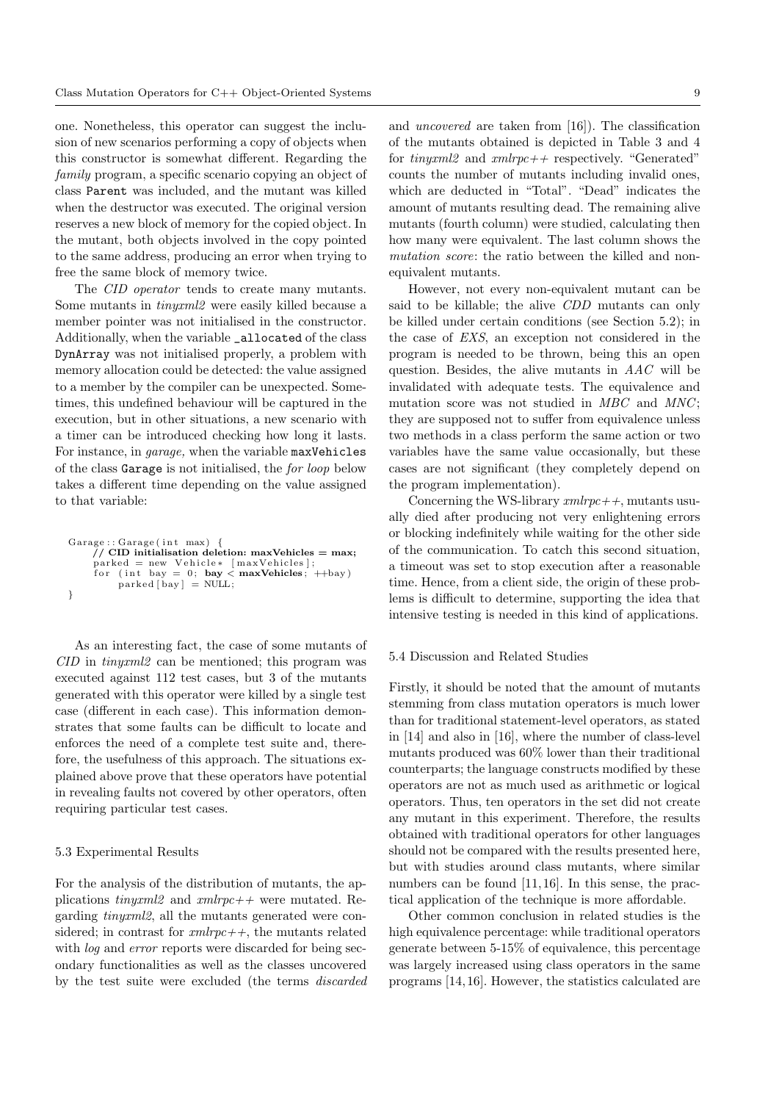one. Nonetheless, this operator can suggest the inclusion of new scenarios performing a copy of objects when this constructor is somewhat different. Regarding the family program, a specific scenario copying an object of class Parent was included, and the mutant was killed when the destructor was executed. The original version reserves a new block of memory for the copied object. In the mutant, both objects involved in the copy pointed to the same address, producing an error when trying to free the same block of memory twice.

The *CID* operator tends to create many mutants. Some mutants in tinyxml2 were easily killed because a member pointer was not initialised in the constructor. Additionally, when the variable \_allocated of the class DynArray was not initialised properly, a problem with memory allocation could be detected: the value assigned to a member by the compiler can be unexpected. Sometimes, this undefined behaviour will be captured in the execution, but in other situations, a new scenario with a timer can be introduced checking how long it lasts. For instance, in garage, when the variable maxVehicles of the class Garage is not initialised, the for loop below takes a different time depending on the value assigned to that variable:

```
G\text{arage} :: G\text{arage} (int max)
     \frac{1}{\sqrt{2}} CID initialisation deletion: maxVehicles = max;
     parked = new Vehicle* [maxVehicles];for (int bay = 0; bay < maxVehicles; ++bay) parked [bay] = NULL;
}
```
As an interesting fact, the case of some mutants of CID in tinyxml2 can be mentioned; this program was executed against 112 test cases, but 3 of the mutants generated with this operator were killed by a single test case (different in each case). This information demonstrates that some faults can be difficult to locate and enforces the need of a complete test suite and, therefore, the usefulness of this approach. The situations explained above prove that these operators have potential in revealing faults not covered by other operators, often requiring particular test cases.

# 5.3 Experimental Results

For the analysis of the distribution of mutants, the applications tinyxml2 and  $rm lpc++$  were mutated. Regarding tinyxml2, all the mutants generated were considered; in contrast for  $\mathit{xmlrpc++}$ , the mutants related with *log* and *error* reports were discarded for being secondary functionalities as well as the classes uncovered by the test suite were excluded (the terms discarded and uncovered are taken from [16]). The classification of the mutants obtained is depicted in Table 3 and 4 for tinyxml2 and  $rm lpc++$  respectively. "Generated" counts the number of mutants including invalid ones, which are deducted in "Total". "Dead" indicates the amount of mutants resulting dead. The remaining alive mutants (fourth column) were studied, calculating then how many were equivalent. The last column shows the mutation score: the ratio between the killed and nonequivalent mutants.

However, not every non-equivalent mutant can be said to be killable; the alive CDD mutants can only be killed under certain conditions (see Section 5.2); in the case of EXS, an exception not considered in the program is needed to be thrown, being this an open question. Besides, the alive mutants in AAC will be invalidated with adequate tests. The equivalence and mutation score was not studied in  $MBC$  and  $MNC$ ; they are supposed not to suffer from equivalence unless two methods in a class perform the same action or two variables have the same value occasionally, but these cases are not significant (they completely depend on the program implementation).

Concerning the WS-library  $xmlrpc++$ , mutants usually died after producing not very enlightening errors or blocking indefinitely while waiting for the other side of the communication. To catch this second situation, a timeout was set to stop execution after a reasonable time. Hence, from a client side, the origin of these problems is difficult to determine, supporting the idea that intensive testing is needed in this kind of applications.

## 5.4 Discussion and Related Studies

Firstly, it should be noted that the amount of mutants stemming from class mutation operators is much lower than for traditional statement-level operators, as stated in [14] and also in [16], where the number of class-level mutants produced was 60% lower than their traditional counterparts; the language constructs modified by these operators are not as much used as arithmetic or logical operators. Thus, ten operators in the set did not create any mutant in this experiment. Therefore, the results obtained with traditional operators for other languages should not be compared with the results presented here, but with studies around class mutants, where similar numbers can be found [11, 16]. In this sense, the practical application of the technique is more affordable.

Other common conclusion in related studies is the high equivalence percentage: while traditional operators generate between 5-15% of equivalence, this percentage was largely increased using class operators in the same programs [14, 16]. However, the statistics calculated are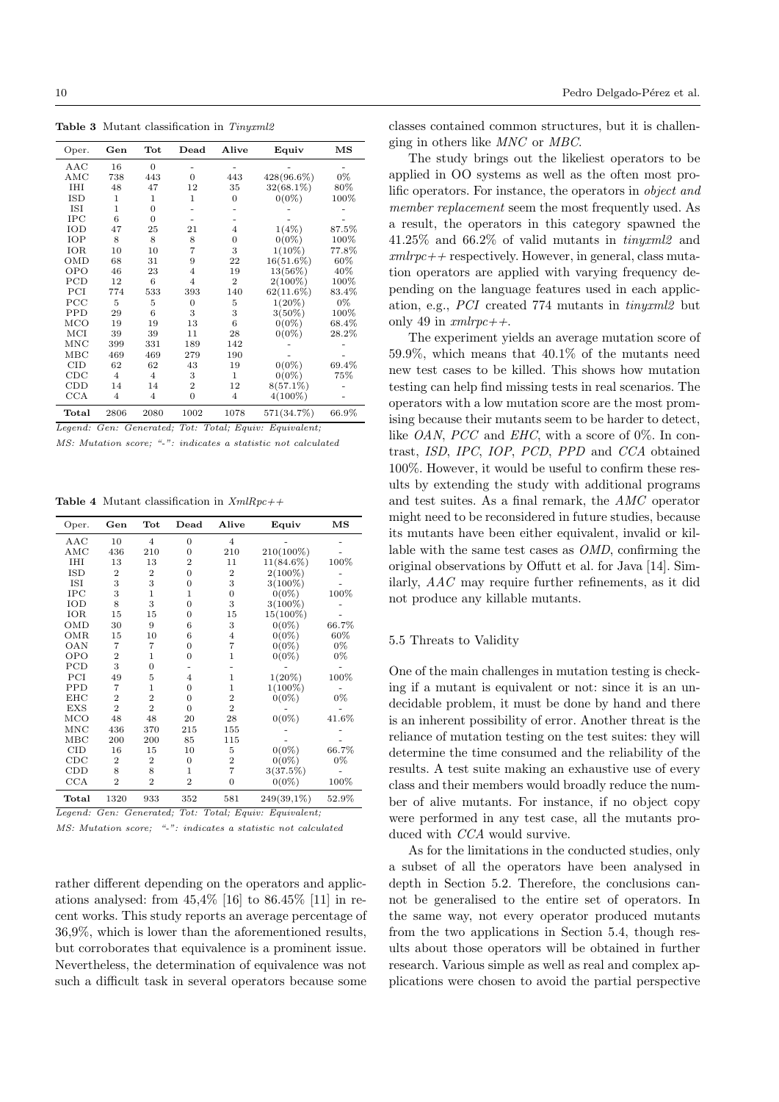Table 3 Mutant classification in Tinyxml2

| Oper.        | Gen            | Tot            | $\bold{Dead}$  | Alive          | Equiv        | $_{\rm MS}$ |
|--------------|----------------|----------------|----------------|----------------|--------------|-------------|
| AAC          | 16             | $\overline{0}$ |                |                |              |             |
| AMC          | 738            | 443            | $\Omega$       | 443            | 428(96.6%)   | 0%          |
| <b>IHI</b>   | 48             | 47             | 12             | 35             | $32(68.1\%)$ | 80%         |
| ISD          | 1              | 1              | $\mathbf{1}$   | $\theta$       | $0(0\%)$     | 100%        |
| ISI          | 1              | $\overline{0}$ |                |                |              |             |
| IPC          | 6              | $\overline{0}$ |                |                |              |             |
| IOD          | 47             | 25             | 21             | $\overline{4}$ | $1(4\%)$     | 87.5%       |
| IOP          | 8              | 8              | 8              | 0              | $0(0\%)$     | 100%        |
| IOR          | 10             | 10             | 7              | 3              | $1(10\%)$    | 77.8%       |
| OMD          | 68             | 31             | 9              | 22             | $16(51.6\%)$ | 60%         |
| OPO          | 46             | 23             | $\overline{4}$ | 19             | 13(56%)      | 40%         |
| PCD          | 12             | 6              | $\overline{4}$ | $\overline{2}$ | $2(100\%)$   | 100%        |
| PCI          | 774            | 533            | 393            | 140            | $62(11.6\%)$ | 83.4%       |
| PCC          | 5              | 5              | $\overline{0}$ | 5              | $1(20\%)$    | 0%          |
| <b>PPD</b>   | 29             | 6              | 3              | 3              | $3(50\%)$    | 100%        |
| MCO          | 19             | 19             | 13             | 6              | $0(0\%)$     | 68.4%       |
| MCI          | 39             | 39             | 11             | 28             | $0(0\%)$     | 28.2%       |
| MNC          | 399            | 331            | 189            | 142            |              |             |
| $_{\rm MBC}$ | 469            | 469            | 279            | 190            |              |             |
| <b>CID</b>   | 62             | 62             | 43             | 19             | $0(0\%)$     | 69.4%       |
| $_{\rm CDC}$ | $\overline{4}$ | $\overline{4}$ | 3              | 1              | $0(0\%)$     | 75%         |
| CDD          | 14             | 14             | $\overline{2}$ | 12             | $8(57.1\%)$  |             |
| CCA          | $\overline{4}$ | $\overline{4}$ | $\overline{0}$ | $\overline{4}$ | $4(100\%)$   |             |
| Total        | 2806           | 2080           | 1002           | 1078           | 571(34.7%)   | 66.9%       |

Legend: Gen: Generated; Tot: Total; Equiv: Equivalent;

MS: Mutation score; "-": indicates a statistic not calculated

Table 4 Mutant classification in  $XmlRpc++$ 

| Oper.                           | Gen            | Tot            | $\bold{Dead}$  | Alive          | Equiv        | $_{\rm MS}$ |
|---------------------------------|----------------|----------------|----------------|----------------|--------------|-------------|
| AAC                             | 10             | $\overline{4}$ | $\overline{0}$ | $\overline{4}$ |              |             |
| AMC                             | 436            | 210            | $\Omega$       | 210            | 210(100%)    |             |
| IHI                             | 13             | 13             | $\overline{2}$ | 11             | $11(84.6\%)$ | 100%        |
| ISD                             | $\overline{2}$ | $\overline{2}$ | $\Omega$       | $\overline{2}$ | $2(100\%)$   |             |
| ISI                             | 3              | 3              | $\overline{0}$ | 3              | $3(100\%)$   |             |
| IPC                             | 3              | $\mathbf{1}$   | 1              | $\overline{0}$ | $0(0\%)$     | 100%        |
| IOD                             | 8              | 3              | $\overline{0}$ | 3              | $3(100\%)$   |             |
| IOR                             | 15             | 15             | $\Omega$       | 15             | 15(100%)     |             |
| OMD                             | 30             | 9              | 6              | 3              | $0(0\%)$     | 66.7%       |
| <b>OMR</b>                      | 15             | 10             | 6              | 4              | $0(0\%)$     | 60%         |
| OAN                             | 7              | 7              | $\overline{0}$ | $\overline{7}$ | $0(0\%)$     | 0%          |
| OPO                             | $\overline{2}$ | $\mathbf{1}$   | $\overline{0}$ | $\mathbf{1}$   | $0(0\%)$     | 0%          |
| PCD                             | 3              | $\overline{0}$ |                |                |              |             |
| PCI                             | 49             | 5              | $\overline{4}$ | 1              | $1(20\%)$    | 100%        |
| <b>PPD</b>                      | 7              | 1              | $\overline{0}$ | 1              | $1(100\%)$   |             |
| EHC                             | $\overline{2}$ | $\overline{2}$ | $\overline{0}$ | $\overline{2}$ | $0(0\%)$     | $0\%$       |
| EXS                             | $\overline{2}$ | $\overline{2}$ | $\Omega$       | $\overline{2}$ |              |             |
| MCO                             | 48             | 48             | 20             | 28             | $0(0\%)$     | 41.6%       |
| <b>MNC</b>                      | 436            | 370            | 215            | 155            |              |             |
| $_{\rm MBC}$                    | 200            | 200            | 85             | 115            |              |             |
| <b>CID</b>                      | 16             | 15             | 10             | 5              | $0(0\%)$     | 66.7%       |
| CDC                             | $\overline{2}$ | $\overline{2}$ | $\overline{0}$ | $\overline{2}$ | $0(0\%)$     | 0%          |
| CDD                             | 8              | 8              | 1              | $\overline{7}$ | 3(37.5%)     |             |
| $_{\rm CCA}$                    | $\overline{2}$ | $\overline{2}$ | $\overline{2}$ | $\overline{0}$ | $0(0\%)$     | 100%        |
| $\operatorname{\mathsf{Total}}$ | 1320           | 933            | 352            | 581            | 249(39,1%)   | 52.9%       |

Legend: Gen: Generated; Tot: Total; Equiv: Equivalent;

MS: Mutation score; "-": indicates a statistic not calculated

rather different depending on the operators and applications analysed: from  $45,4\%$  [16] to  $86.45\%$  [11] in recent works. This study reports an average percentage of 36,9%, which is lower than the aforementioned results, but corroborates that equivalence is a prominent issue. Nevertheless, the determination of equivalence was not such a difficult task in several operators because some

classes contained common structures, but it is challenging in others like MNC or MBC.

The study brings out the likeliest operators to be applied in OO systems as well as the often most prolific operators. For instance, the operators in object and member replacement seem the most frequently used. As a result, the operators in this category spawned the 41.25% and 66.2% of valid mutants in tinyxml2 and  $xmlrpc++$  respectively. However, in general, class mutation operators are applied with varying frequency depending on the language features used in each application, e.g., PCI created 774 mutants in tinyxml2 but only 49 in  $xmlrpc++$ .

The experiment yields an average mutation score of 59.9%, which means that 40.1% of the mutants need new test cases to be killed. This shows how mutation testing can help find missing tests in real scenarios. The operators with a low mutation score are the most promising because their mutants seem to be harder to detect, like *OAN*, *PCC* and *EHC*, with a score of 0%. In contrast, ISD, IPC, IOP, PCD, PPD and CCA obtained 100%. However, it would be useful to confirm these results by extending the study with additional programs and test suites. As a final remark, the AMC operator might need to be reconsidered in future studies, because its mutants have been either equivalent, invalid or killable with the same test cases as OMD, confirming the original observations by Offutt et al. for Java [14]. Similarly, AAC may require further refinements, as it did not produce any killable mutants.

#### 5.5 Threats to Validity

One of the main challenges in mutation testing is checking if a mutant is equivalent or not: since it is an undecidable problem, it must be done by hand and there is an inherent possibility of error. Another threat is the reliance of mutation testing on the test suites: they will determine the time consumed and the reliability of the results. A test suite making an exhaustive use of every class and their members would broadly reduce the number of alive mutants. For instance, if no object copy were performed in any test case, all the mutants produced with CCA would survive.

As for the limitations in the conducted studies, only a subset of all the operators have been analysed in depth in Section 5.2. Therefore, the conclusions cannot be generalised to the entire set of operators. In the same way, not every operator produced mutants from the two applications in Section 5.4, though results about those operators will be obtained in further research. Various simple as well as real and complex applications were chosen to avoid the partial perspective